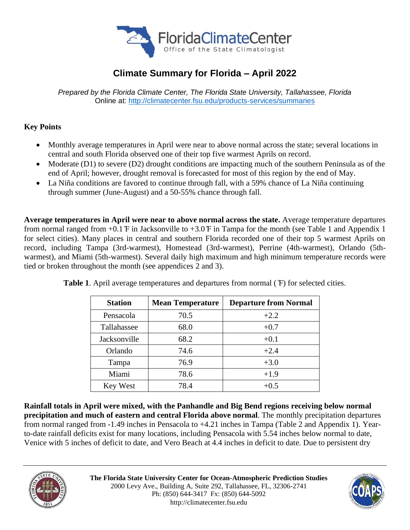

# **Climate Summary for Florida – April 2022**

*Prepared by the Florida Climate Center, The Florida State University, Tallahassee, Florida* Online at:<http://climatecenter.fsu.edu/products-services/summaries>

# **Key Points**

- Monthly average temperatures in April were near to above normal across the state; several locations in central and south Florida observed one of their top five warmest Aprils on record.
- Moderate (D1) to severe (D2) drought conditions are impacting much of the southern Peninsula as of the end of April; however, drought removal is forecasted for most of this region by the end of May.
- La Niña conditions are favored to continue through fall, with a 59% chance of La Niña continuing through summer (June-August) and a 50-55% chance through fall.

**Average temperatures in April were near to above normal across the state.** Average temperature departures from normal ranged from  $+0.1 \text{ F}$  in Jacksonville to  $+3.0 \text{ F}$  in Tampa for the month (see Table 1 and Appendix 1) for select cities). Many places in central and southern Florida recorded one of their top 5 warmest Aprils on record, including Tampa (3rd-warmest), Homestead (3rd-warmest), Perrine (4th-warmest), Orlando (5thwarmest), and Miami (5th-warmest). Several daily high maximum and high minimum temperature records were tied or broken throughout the month (see appendices 2 and 3).

| <b>Station</b> | <b>Mean Temperature</b> | <b>Departure from Normal</b> |
|----------------|-------------------------|------------------------------|
| Pensacola      | 70.5                    | $+2.2$                       |
| Tallahassee    | 68.0                    | $+0.7$                       |
| Jacksonville   | 68.2                    | $+0.1$                       |
| Orlando        | 74.6                    | $+2.4$                       |
| Tampa          | 76.9                    | $+3.0$                       |
| Miami          | 78.6                    | $+1.9$                       |
| Key West       | 78.4                    | $+0.5$                       |

**Table 1**. April average temperatures and departures from normal ( ̊F) for selected cities.

**Rainfall totals in April were mixed, with the Panhandle and Big Bend regions receiving below normal precipitation and much of eastern and central Florida above normal**. The monthly precipitation departures from normal ranged from -1.49 inches in Pensacola to +4.21 inches in Tampa (Table 2 and Appendix 1). Yearto-date rainfall deficits exist for many locations, including Pensacola with 5.54 inches below normal to date, Venice with 5 inches of deficit to date, and Vero Beach at 4.4 inches in deficit to date. Due to persistent dry



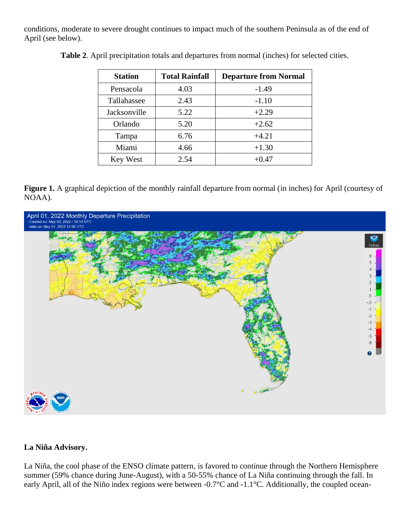conditions, moderate to severe drought continues to impact much of the southern Peninsula as of the end of April (see below).

| <b>Station</b> | <b>Total Rainfall</b> | <b>Departure from Normal</b> |
|----------------|-----------------------|------------------------------|
| Pensacola      | 4.03                  | $-1.49$                      |
| Tallahassee    | 2.43                  | $-1.10$                      |
| Jacksonville   | 5.22                  | $+2.29$                      |
| Orlando        | 5.20                  | $+2.62$                      |
| Tampa          | 6.76                  | $+4.21$                      |
| Miami          | 4.66                  | $+1.30$                      |
| Key West       | 2.54                  | $+0.47$                      |

**Table 2**. April precipitation totals and departures from normal (inches) for selected cities.

**Figure 1.** A graphical depiction of the monthly rainfall departure from normal (in inches) for April (courtesy of NOAA).



### **La Niña Advisory.**

La Niña, the cool phase of the ENSO climate pattern, is favored to continue through the Northern Hemisphere summer (59% chance during June-August), with a 50-55% chance of La Niña continuing through the fall. In early April, all of the Niño index regions were between -0.7°C and -1.1°C. Additionally, the coupled ocean-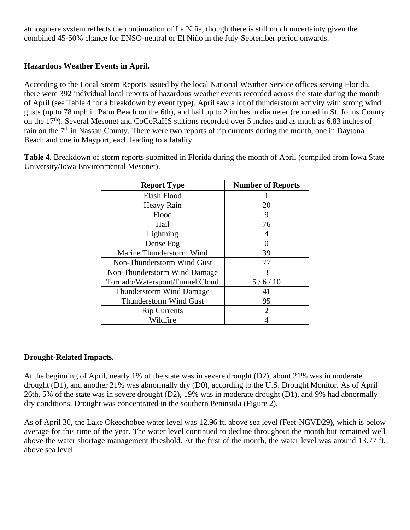atmosphere system reflects the continuation of La Niña, though there is still much uncertainty given the combined 45-50% chance for ENSO-neutral or El Niño in the July-September period onwards.

## **Hazardous Weather Events in April.**

According to the Local Storm Reports issued by the local National Weather Service offices serving Florida, there were 392 individual local reports of hazardous weather events recorded across the state during the month of April (see Table 4 for a breakdown by event type). April saw a lot of thunderstorm activity with strong wind gusts (up to 78 mph in Palm Beach on the 6th), and hail up to 2 inches in diameter (reported in St. Johns County on the 17th). Several Mesonet and CoCoRaHS stations recorded over 5 inches and as much as 6.83 inches of rain on the 7<sup>th</sup> in Nassau County. There were two reports of rip currents during the month, one in Daytona Beach and one in Mayport, each leading to a fatality.

**Table 4.** Breakdown of storm reports submitted in Florida during the month of April (compiled from Iowa State University/Iowa Environmental Mesonet).

| <b>Report Type</b>              | <b>Number of Reports</b> |
|---------------------------------|--------------------------|
| Flash Flood                     |                          |
| Heavy Rain                      | 20                       |
| Flood                           | 9                        |
| Hail                            | 76                       |
| Lightning                       |                          |
| Dense Fog                       |                          |
| Marine Thunderstorm Wind        | 39                       |
| Non-Thunderstorm Wind Gust      | 77                       |
| Non-Thunderstorm Wind Damage    | 3                        |
| Tornado/Waterspout/Funnel Cloud | 5/6/10                   |
| <b>Thunderstorm Wind Damage</b> | 41                       |
| Thunderstorm Wind Gust          | 95                       |
| <b>Rip Currents</b>             | 2                        |
| Wildfire                        |                          |

#### **Drought-Related Impacts.**

At the beginning of April, nearly 1% of the state was in severe drought (D2), about 21% was in moderate drought (D1), and another 21% was abnormally dry (D0), according to the U.S. Drought Monitor. As of April 26th, 5% of the state was in severe drought (D2), 19% was in moderate drought (D1), and 9% had abnormally dry conditions. Drought was concentrated in the southern Peninsula (Figure 2).

As of April 30, the Lake Okeechobee water level was 12.96 ft. above sea level (Feet-NGVD29**)**, which is below average for this time of the year. The water level continued to decline throughout the month but remained well above the water shortage management threshold. At the first of the month, the water level was around 13.77 ft. above sea level.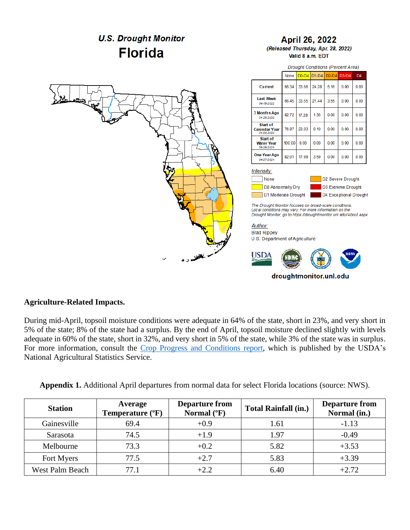

#### **Agriculture-Related Impacts.**

During mid-April, topsoil moisture conditions were adequate in 64% of the state, short in 23%, and very short in 5% of the state; 8% of the state had a surplus. By the end of April, topsoil moisture declined slightly with levels adequate in 60% of the state, short in 32%, and very short in 5% of the state, while 3% of the state was in surplus. For more information, consult the [Crop Progress and Conditions report,](https://usda.library.cornell.edu/concern/publications/8336h188j?locale=en) which is published by the USDA's National Agricultural Statistics Service.

| Appendix 1. Additional April departures from normal data for select Florida locations (source: NWS). |  |  |  |  |  |  |  |  |
|------------------------------------------------------------------------------------------------------|--|--|--|--|--|--|--|--|
|------------------------------------------------------------------------------------------------------|--|--|--|--|--|--|--|--|

| <b>Station</b>         | Average<br>Temperature (°F) | <b>Departure from</b><br>Normal $(^{\circ}F)$ | <b>Total Rainfall (in.)</b> | <b>Departure from</b><br>Normal (in.) |
|------------------------|-----------------------------|-----------------------------------------------|-----------------------------|---------------------------------------|
| Gainesville            | 69.4                        | $+0.9$                                        | 1.61                        | $-1.13$                               |
| Sarasota               | 74.5                        | $+1.9$                                        | 1.97                        | $-0.49$                               |
| Melbourne              | 73.3                        | $+0.2$                                        | 5.82                        | $+3.53$                               |
| Fort Myers             | 77.5                        | $+2.7$                                        | 5.83                        | $+3.39$                               |
| <b>West Palm Beach</b> | 77.1                        | $+2.2$                                        | 6.40                        | $+2.72$                               |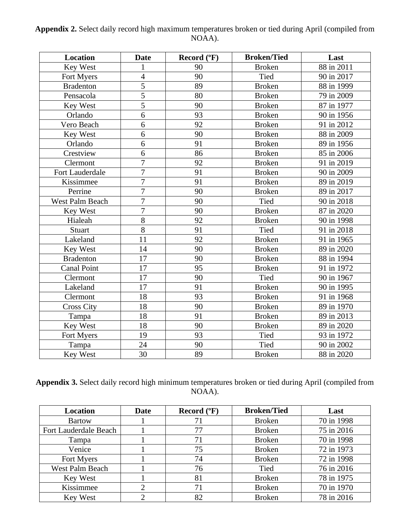| Appendix 2. Select daily record high maximum temperatures broken or tied during April (compiled from |        |  |
|------------------------------------------------------------------------------------------------------|--------|--|
|                                                                                                      | NOAA). |  |

| <b>Location</b>    | <b>Date</b>    | Record (°F) | <b>Broken/Tied</b> | Last       |
|--------------------|----------------|-------------|--------------------|------------|
| Key West           | 1              | 90          | <b>Broken</b>      | 88 in 2011 |
| Fort Myers         | $\overline{4}$ | 90          | Tied               | 90 in 2017 |
| <b>Bradenton</b>   | $\overline{5}$ | 89          | <b>Broken</b>      | 88 in 1999 |
| Pensacola          | 5              | 80          | <b>Broken</b>      | 79 in 2009 |
| Key West           | $\overline{5}$ | 90          | <b>Broken</b>      | 87 in 1977 |
| Orlando            | 6              | 93          | <b>Broken</b>      | 90 in 1956 |
| Vero Beach         | 6              | 92          | <b>Broken</b>      | 91 in 2012 |
| Key West           | 6              | 90          | <b>Broken</b>      | 88 in 2009 |
| Orlando            | 6              | 91          | <b>Broken</b>      | 89 in 1956 |
| Crestview          | 6              | 86          | <b>Broken</b>      | 85 in 2006 |
| Clermont           | $\overline{7}$ | 92          | <b>Broken</b>      | 91 in 2019 |
| Fort Lauderdale    | $\overline{7}$ | 91          | <b>Broken</b>      | 90 in 2009 |
| Kissimmee          | $\overline{7}$ | 91          | <b>Broken</b>      | 89 in 2019 |
| Perrine            | $\overline{7}$ | 90          | <b>Broken</b>      | 89 in 2017 |
| West Palm Beach    | $\overline{7}$ | 90          | <b>Tied</b>        | 90 in 2018 |
| Key West           | $\overline{7}$ | 90          | <b>Broken</b>      | 87 in 2020 |
| Hialeah            | 8              | 92          | <b>Broken</b>      | 90 in 1998 |
| Stuart             | $\overline{8}$ | 91          | Tied               | 91 in 2018 |
| Lakeland           | 11             | 92          | <b>Broken</b>      | 91 in 1965 |
| Key West           | 14             | 90          | <b>Broken</b>      | 89 in 2020 |
| <b>Bradenton</b>   | 17             | 90          | <b>Broken</b>      | 88 in 1994 |
| <b>Canal Point</b> | 17             | 95          | <b>Broken</b>      | 91 in 1972 |
| Clermont           | 17             | 90          | Tied               | 90 in 1967 |
| Lakeland           | 17             | 91          | <b>Broken</b>      | 90 in 1995 |
| Clermont           | 18             | 93          | <b>Broken</b>      | 91 in 1968 |
| <b>Cross City</b>  | 18             | 90          | <b>Broken</b>      | 89 in 1970 |
| Tampa              | 18             | 91          | <b>Broken</b>      | 89 in 2013 |
| Key West           | 18             | 90          | <b>Broken</b>      | 89 in 2020 |
| Fort Myers         | 19             | 93          | Tied               | 93 in 1972 |
| Tampa              | 24             | 90          | Tied               | 90 in 2002 |
| Key West           | 30             | 89          | <b>Broken</b>      | 88 in 2020 |

**Appendix 3.** Select daily record high minimum temperatures broken or tied during April (compiled from NOAA).

| <b>Location</b>              | <b>Date</b> | Record $(^{\circ}F)$ | <b>Broken/Tied</b> | Last       |
|------------------------------|-------------|----------------------|--------------------|------------|
| <b>Bartow</b>                |             | 71                   | <b>Broken</b>      | 70 in 1998 |
| <b>Fort Lauderdale Beach</b> |             | 77                   | <b>Broken</b>      | 75 in 2016 |
| Tampa                        |             | 71                   | <b>Broken</b>      | 70 in 1998 |
| Venice                       |             | 75                   | <b>Broken</b>      | 72 in 1973 |
| Fort Myers                   |             | 74                   | <b>Broken</b>      | 72 in 1998 |
| West Palm Beach              |             | 76                   | Tied               | 76 in 2016 |
| Key West                     |             | 81                   | <b>Broken</b>      | 78 in 1975 |
| Kissimmee                    |             | 71                   | <b>Broken</b>      | 70 in 1970 |
| Key West                     |             | 82                   | <b>Broken</b>      | 78 in 2016 |